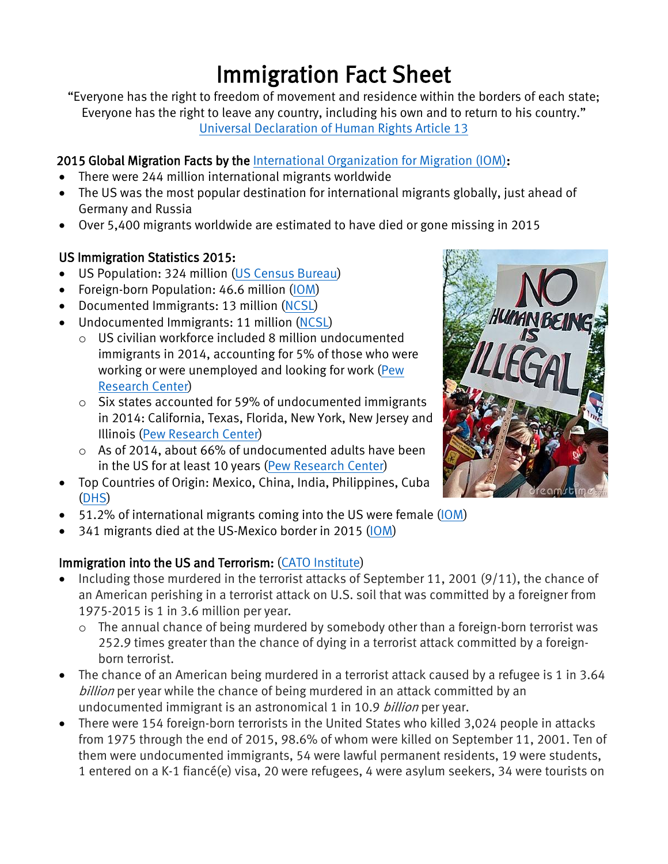# Immigration Fact Sheet

"Everyone has the right to freedom of movement and residence within the borders of each state; Everyone has the right to leave any country, including his own and to return to his country." Universal [Declaration](http://www.ohchr.org/EN/UDHR/Documents/UDHR_Translations/eng.pdf) of Human Rights Article 13

## 2015 Global Migration Facts by the [International](http://gmdac.iom.int/global-migration-trends-factsheet) Organization for Migration (IOM):

- There were 244 million international migrants worldwide
- The US was the most popular destination for international migrants globally, just ahead of Germany and Russia
- Over 5,400 migrants worldwide are estimated to have died or gone missing in 2015

#### US Immigration Statistics 2015:

- US Population: 324 million (US Census [Bureau\)](http://www.census.gov/popclock/)
- Foreign-born Population: 46.6 million [\(IOM\)](http://gmdac.iom.int/global-migration-trends-factsheet)
- Documented Immigrants: 13 million [\(NCSL\)](http://www.ncsl.org/research/immigration/us-immigration-snapshot-2011.aspx)
- Undocumented Immigrants: 11 million [\(NCSL\)](http://www.ncsl.org/research/immigration/us-immigration-snapshot-2011.aspx)
	- o US civilian workforce included 8 million undocumented immigrants in 2014, accounting for 5% of those who were working or were unemployed and looking for work [\(Pew](http://www.pewresearch.org/fact-tank/2016/11/03/5-facts-about-illegal-immigration-in-the-u-s/) [Research](http://www.pewresearch.org/fact-tank/2016/11/03/5-facts-about-illegal-immigration-in-the-u-s/) Center)
	- o Six states accounted for 59% of undocumented immigrants in 2014: California, Texas, Florida, New York, New Jersey and Illinois (Pew [Research](http://www.pewresearch.org/fact-tank/2016/11/03/5-facts-about-illegal-immigration-in-the-u-s/) Center)
	- o As of 2014, about 66% of undocumented adults have been in the US for at least 10 years (Pew [Research](http://www.pewresearch.org/fact-tank/2016/11/03/5-facts-about-illegal-immigration-in-the-u-s/) Center)
- Top Countries of Origin: Mexico, China, India, Philippines, Cuba [\(DHS\)](https://www.dhs.gov/sites/default/files/publications/Yearbook_Immigration_Statistics_2015.pdf)
- 51.2% of international migrants coming into the US were female [\(IOM\)](http://gmdac.iom.int/global-migration-trends-factsheet)
- 341 migrants died at the US-Mexico border in 2015 [\(IOM\)](http://gmdac.iom.int/global-migration-trends-factsheet)

## Immigration into the US and Terrorism: (CATO [Institute\)](https://www.cato.org/publications/policy-analysis/terrorism-immigration-risk-analysis#full)

- Including those murdered in the terrorist attacks of September 11, 2001 (9/11), the chance of an American perishing in a terrorist attack on U.S. soil that was committed by a foreigner from 1975-2015 is 1 in 3.6 million per year.
	- o The annual chance of being murdered by somebody other than a foreign-born terrorist was 252.9 times greater than the chance of dying in a terrorist attack committed by a foreignborn terrorist.
- The chance of an American being murdered in a terrorist attack caused by a refugee is 1 in 3.64 billion per year while the chance of being murdered in an attack committed by an undocumented immigrant is an astronomical 1 in 10.9 billion per year.
- There were 154 foreign-born terrorists in the United States who killed 3,024 people in attacks from 1975 through the end of 2015, 98.6% of whom were killed on September 11, 2001. Ten of them were undocumented immigrants, 54 were lawful permanent residents, 19 were students, 1 entered on a K-1 fiancé(e) visa, 20 were refugees, 4 were asylum seekers, 34 were tourists on